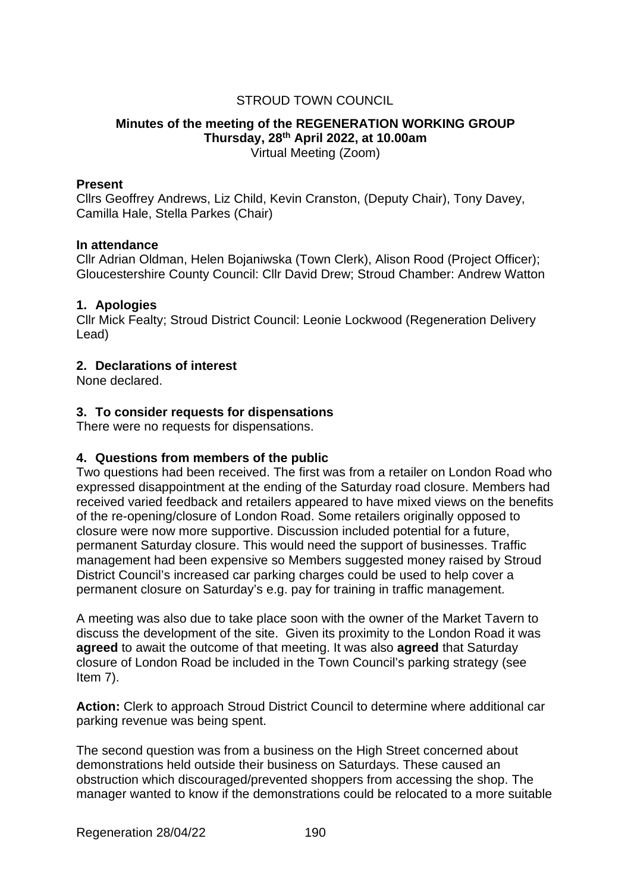# STROUD TOWN COUNCIL

#### **Minutes of the meeting of the REGENERATION WORKING GROUP Thursday, 28th April 2022, at 10.00am** Virtual Meeting (Zoom)

#### **Present**

Cllrs Geoffrey Andrews, Liz Child, Kevin Cranston, (Deputy Chair), Tony Davey, Camilla Hale, Stella Parkes (Chair)

#### **In attendance**

Cllr Adrian Oldman, Helen Bojaniwska (Town Clerk), Alison Rood (Project Officer); Gloucestershire County Council: Cllr David Drew; Stroud Chamber: Andrew Watton

## **1. Apologies**

Cllr Mick Fealty; Stroud District Council: Leonie Lockwood (Regeneration Delivery Lead)

## **2. Declarations of interest**

None declared.

## **3. To consider requests for dispensations**

There were no requests for dispensations.

## **4. Questions from members of the public**

Two questions had been received. The first was from a retailer on London Road who expressed disappointment at the ending of the Saturday road closure. Members had received varied feedback and retailers appeared to have mixed views on the benefits of the re-opening/closure of London Road. Some retailers originally opposed to closure were now more supportive. Discussion included potential for a future, permanent Saturday closure. This would need the support of businesses. Traffic management had been expensive so Members suggested money raised by Stroud District Council's increased car parking charges could be used to help cover a permanent closure on Saturday's e.g. pay for training in traffic management.

A meeting was also due to take place soon with the owner of the Market Tavern to discuss the development of the site. Given its proximity to the London Road it was **agreed** to await the outcome of that meeting. It was also **agreed** that Saturday closure of London Road be included in the Town Council's parking strategy (see Item 7).

**Action:** Clerk to approach Stroud District Council to determine where additional car parking revenue was being spent.

The second question was from a business on the High Street concerned about demonstrations held outside their business on Saturdays. These caused an obstruction which discouraged/prevented shoppers from accessing the shop. The manager wanted to know if the demonstrations could be relocated to a more suitable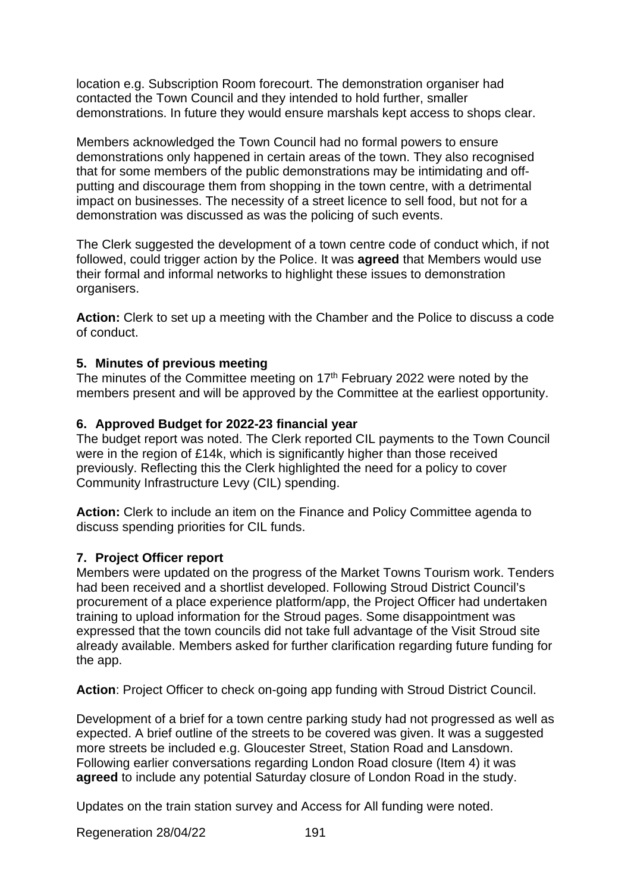location e.g. Subscription Room forecourt. The demonstration organiser had contacted the Town Council and they intended to hold further, smaller demonstrations. In future they would ensure marshals kept access to shops clear.

Members acknowledged the Town Council had no formal powers to ensure demonstrations only happened in certain areas of the town. They also recognised that for some members of the public demonstrations may be intimidating and offputting and discourage them from shopping in the town centre, with a detrimental impact on businesses. The necessity of a street licence to sell food, but not for a demonstration was discussed as was the policing of such events.

The Clerk suggested the development of a town centre code of conduct which, if not followed, could trigger action by the Police. It was **agreed** that Members would use their formal and informal networks to highlight these issues to demonstration organisers.

**Action:** Clerk to set up a meeting with the Chamber and the Police to discuss a code of conduct.

## **5. Minutes of previous meeting**

The minutes of the Committee meeting on 17<sup>th</sup> February 2022 were noted by the members present and will be approved by the Committee at the earliest opportunity.

## **6. Approved Budget for 2022-23 financial year**

The budget report was noted. The Clerk reported CIL payments to the Town Council were in the region of £14k, which is significantly higher than those received previously. Reflecting this the Clerk highlighted the need for a policy to cover Community Infrastructure Levy (CIL) spending.

**Action:** Clerk to include an item on the Finance and Policy Committee agenda to discuss spending priorities for CIL funds.

## **7. Project Officer report**

Members were updated on the progress of the Market Towns Tourism work. Tenders had been received and a shortlist developed. Following Stroud District Council's procurement of a place experience platform/app, the Project Officer had undertaken training to upload information for the Stroud pages. Some disappointment was expressed that the town councils did not take full advantage of the Visit Stroud site already available. Members asked for further clarification regarding future funding for the app.

**Action**: Project Officer to check on-going app funding with Stroud District Council.

Development of a brief for a town centre parking study had not progressed as well as expected. A brief outline of the streets to be covered was given. It was a suggested more streets be included e.g. Gloucester Street, Station Road and Lansdown. Following earlier conversations regarding London Road closure (Item 4) it was **agreed** to include any potential Saturday closure of London Road in the study.

Updates on the train station survey and Access for All funding were noted.

Regeneration 28/04/22 191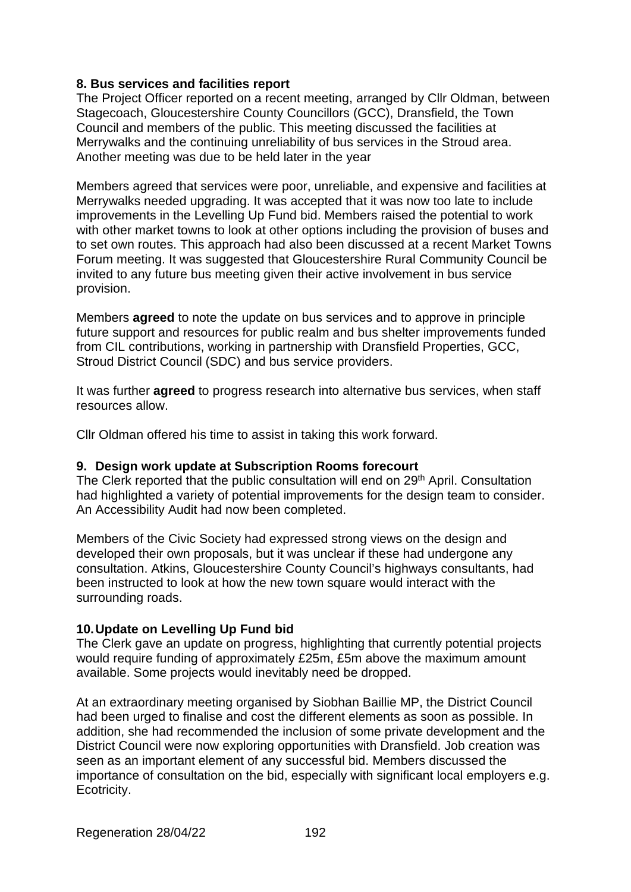## **8. Bus services and facilities report**

The Project Officer reported on a recent meeting, arranged by Cllr Oldman, between Stagecoach, Gloucestershire County Councillors (GCC), Dransfield, the Town Council and members of the public. This meeting discussed the facilities at Merrywalks and the continuing unreliability of bus services in the Stroud area. Another meeting was due to be held later in the year

Members agreed that services were poor, unreliable, and expensive and facilities at Merrywalks needed upgrading. It was accepted that it was now too late to include improvements in the Levelling Up Fund bid. Members raised the potential to work with other market towns to look at other options including the provision of buses and to set own routes. This approach had also been discussed at a recent Market Towns Forum meeting. It was suggested that Gloucestershire Rural Community Council be invited to any future bus meeting given their active involvement in bus service provision.

Members **agreed** to note the update on bus services and to approve in principle future support and resources for public realm and bus shelter improvements funded from CIL contributions, working in partnership with Dransfield Properties, GCC, Stroud District Council (SDC) and bus service providers.

It was further **agreed** to progress research into alternative bus services, when staff resources allow.

Cllr Oldman offered his time to assist in taking this work forward.

## **9. Design work update at Subscription Rooms forecourt**

The Clerk reported that the public consultation will end on 29<sup>th</sup> April. Consultation had highlighted a variety of potential improvements for the design team to consider. An Accessibility Audit had now been completed.

Members of the Civic Society had expressed strong views on the design and developed their own proposals, but it was unclear if these had undergone any consultation. Atkins, Gloucestershire County Council's highways consultants, had been instructed to look at how the new town square would interact with the surrounding roads.

## **10.Update on Levelling Up Fund bid**

The Clerk gave an update on progress, highlighting that currently potential projects would require funding of approximately £25m, £5m above the maximum amount available. Some projects would inevitably need be dropped.

At an extraordinary meeting organised by Siobhan Baillie MP, the District Council had been urged to finalise and cost the different elements as soon as possible. In addition, she had recommended the inclusion of some private development and the District Council were now exploring opportunities with Dransfield. Job creation was seen as an important element of any successful bid. Members discussed the importance of consultation on the bid, especially with significant local employers e.g. Ecotricity.